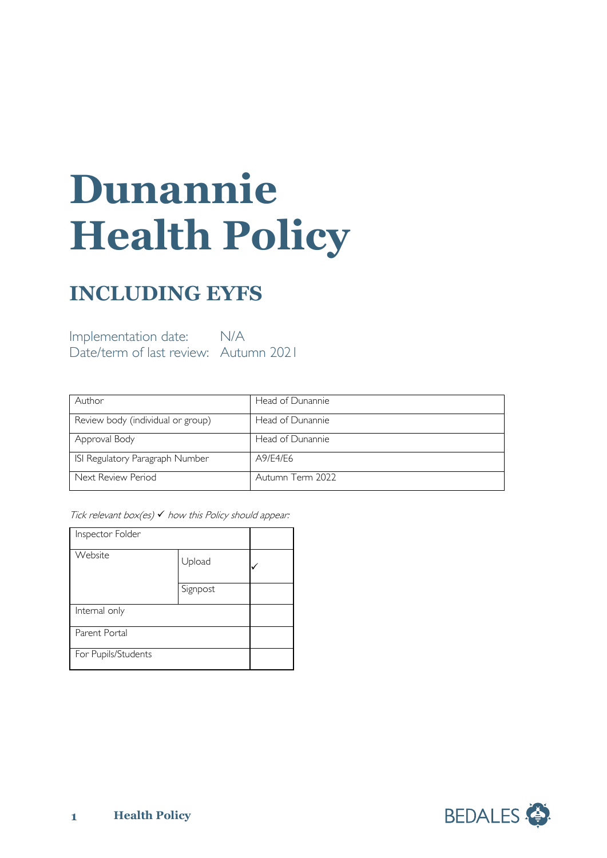# **Dunannie Health Policy**

# **INCLUDING EYFS**

Implementation date: N/A Date/term of last review: Autumn 2021

| Author                            | Head of Dunannie |
|-----------------------------------|------------------|
| Review body (individual or group) | Head of Dunannie |
| Approval Body                     | Head of Dunannie |
| ISI Regulatory Paragraph Number   | A9/E4/E6         |
| Next Review Period                | Autumn Term 2022 |

Tick relevant box(es)  $\checkmark$  how this Policy should appear:

| Inspector Folder    |          |  |
|---------------------|----------|--|
| Website             | Upload   |  |
|                     | Signpost |  |
| Internal only       |          |  |
| Parent Portal       |          |  |
| For Pupils/Students |          |  |

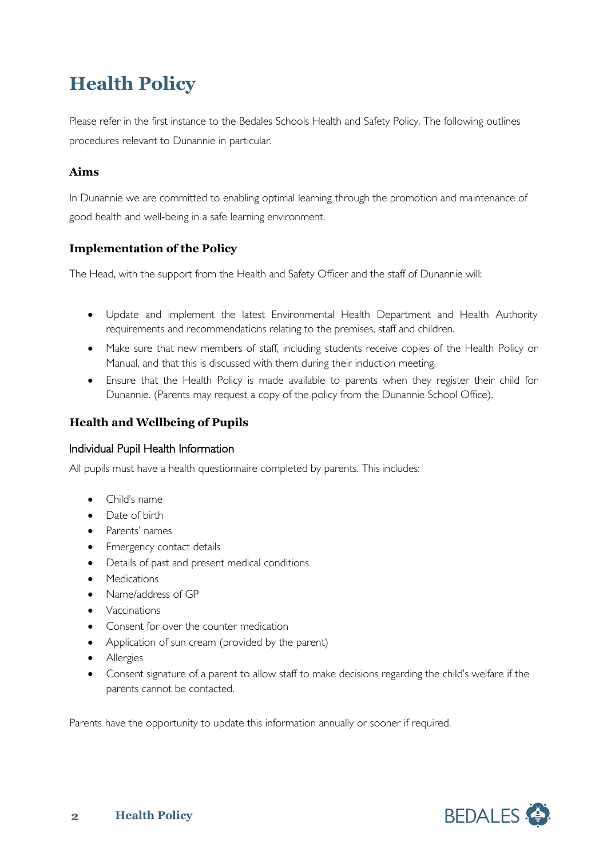# **Health Policy**

Please refer in the first instance to the Bedales Schools Health and Safety Policy. The following outlines procedures relevant to Dunannie in particular.

#### **Aims**

In Dunannie we are committed to enabling optimal learning through the promotion and maintenance of good health and well-being in a safe learning environment.

## **Implementation of the Policy**

The Head, with the support from the Health and Safety Officer and the staff of Dunannie will:

- Update and implement the latest Environmental Health Department and Health Authority requirements and recommendations relating to the premises, staff and children.
- Make sure that new members of staff, including students receive copies of the Health Policy or Manual, and that this is discussed with them during their induction meeting.
- Ensure that the Health Policy is made available to parents when they register their child for Dunannie. (Parents may request a copy of the policy from the Dunannie School Office).

#### **Health and Wellbeing of Pupils**

#### Individual Pupil Health Information

All pupils must have a health questionnaire completed by parents. This includes:

- Child's name
- Date of birth
- Parents' names
- Emergency contact details
- Details of past and present medical conditions
- Medications
- Name/address of GP
- Vaccinations
- Consent for over the counter medication
- Application of sun cream (provided by the parent)
- Allergies
- Consent signature of a parent to allow staff to make decisions regarding the child's welfare if the parents cannot be contacted.

Parents have the opportunity to update this information annually or sooner if required.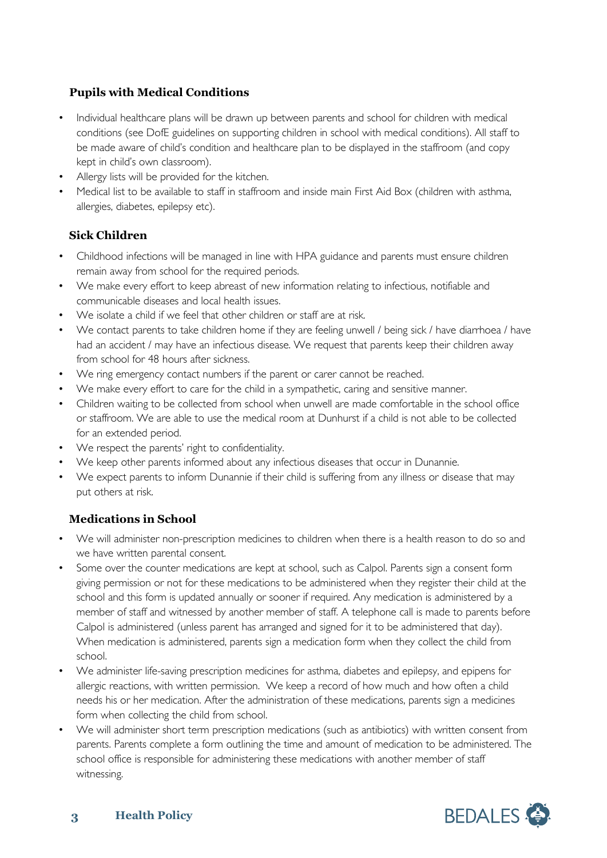#### **Pupils with Medical Conditions**

- Individual healthcare plans will be drawn up between parents and school for children with medical conditions (see DofE guidelines on supporting children in school with medical conditions). All staff to be made aware of child's condition and healthcare plan to be displayed in the staffroom (and copy kept in child's own classroom).
- Allergy lists will be provided for the kitchen.
- Medical list to be available to staff in staffroom and inside main First Aid Box (children with asthma, allergies, diabetes, epilepsy etc).

## **Sick Children**

- Childhood infections will be managed in line with HPA guidance and parents must ensure children remain away from school for the required periods.
- We make every effort to keep abreast of new information relating to infectious, notifiable and communicable diseases and local health issues.
- We isolate a child if we feel that other children or staff are at risk.
- We contact parents to take children home if they are feeling unwell / being sick / have diarrhoea / have had an accident / may have an infectious disease. We request that parents keep their children away from school for 48 hours after sickness.
- We ring emergency contact numbers if the parent or carer cannot be reached.
- We make every effort to care for the child in a sympathetic, caring and sensitive manner.
- Children waiting to be collected from school when unwell are made comfortable in the school office or staffroom. We are able to use the medical room at Dunhurst if a child is not able to be collected for an extended period.
- We respect the parents' right to confidentiality.
- We keep other parents informed about any infectious diseases that occur in Dunannie.
- We expect parents to inform Dunannie if their child is suffering from any illness or disease that may put others at risk.

## **Medications in School**

- We will administer non-prescription medicines to children when there is a health reason to do so and we have written parental consent.
- Some over the counter medications are kept at school, such as Calpol. Parents sign a consent form giving permission or not for these medications to be administered when they register their child at the school and this form is updated annually or sooner if required. Any medication is administered by a member of staff and witnessed by another member of staff. A telephone call is made to parents before Calpol is administered (unless parent has arranged and signed for it to be administered that day). When medication is administered, parents sign a medication form when they collect the child from school.
- We administer life-saving prescription medicines for asthma, diabetes and epilepsy, and epipens for allergic reactions, with written permission. We keep a record of how much and how often a child needs his or her medication. After the administration of these medications, parents sign a medicines form when collecting the child from school.
- We will administer short term prescription medications (such as antibiotics) with written consent from parents. Parents complete a form outlining the time and amount of medication to be administered. The school office is responsible for administering these medications with another member of staff witnessing.

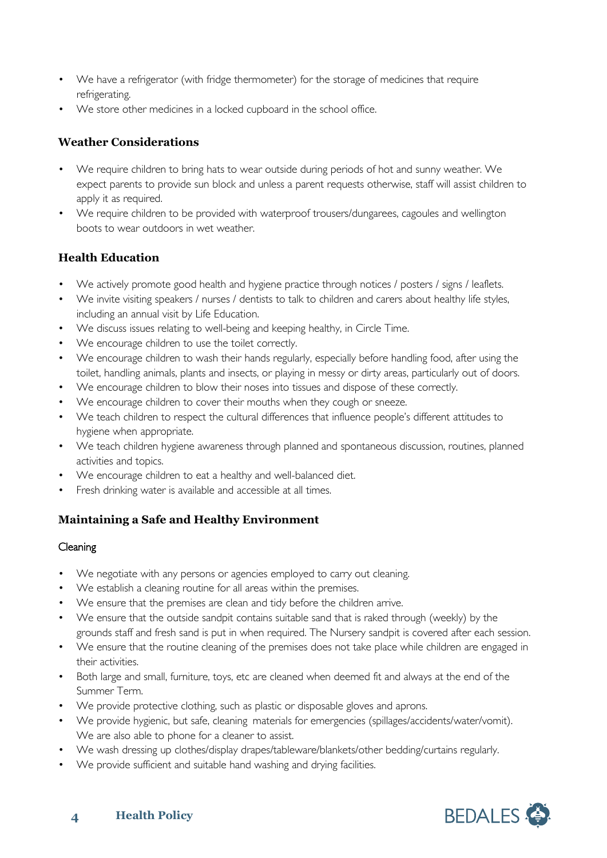- We have a refrigerator (with fridge thermometer) for the storage of medicines that require refrigerating.
- We store other medicines in a locked cupboard in the school office.

#### **Weather Considerations**

- We require children to bring hats to wear outside during periods of hot and sunny weather. We expect parents to provide sun block and unless a parent requests otherwise, staff will assist children to apply it as required.
- We require children to be provided with waterproof trousers/dungarees, cagoules and wellington boots to wear outdoors in wet weather.

## **Health Education**

- We actively promote good health and hygiene practice through notices / posters / signs / leaflets.
- We invite visiting speakers / nurses / dentists to talk to children and carers about healthy life styles, including an annual visit by Life Education.
- We discuss issues relating to well-being and keeping healthy, in Circle Time.
- We encourage children to use the toilet correctly.
- We encourage children to wash their hands regularly, especially before handling food, after using the toilet, handling animals, plants and insects, or playing in messy or dirty areas, particularly out of doors.
- We encourage children to blow their noses into tissues and dispose of these correctly.
- We encourage children to cover their mouths when they cough or sneeze.
- We teach children to respect the cultural differences that influence people's different attitudes to hygiene when appropriate.
- We teach children hygiene awareness through planned and spontaneous discussion, routines, planned activities and topics.
- We encourage children to eat a healthy and well-balanced diet.
- Fresh drinking water is available and accessible at all times.

#### **Maintaining a Safe and Healthy Environment**

#### **Cleaning**

- We negotiate with any persons or agencies employed to carry out cleaning.
- We establish a cleaning routine for all areas within the premises.
- We ensure that the premises are clean and tidy before the children arrive.
- We ensure that the outside sandpit contains suitable sand that is raked through (weekly) by the grounds staff and fresh sand is put in when required. The Nursery sandpit is covered after each session.
- We ensure that the routine cleaning of the premises does not take place while children are engaged in their activities.
- Both large and small, furniture, toys, etc are cleaned when deemed fit and always at the end of the Summer Term.
- We provide protective clothing, such as plastic or disposable gloves and aprons.
- We provide hygienic, but safe, cleaning materials for emergencies (spillages/accidents/water/vomit). We are also able to phone for a cleaner to assist.
- We wash dressing up clothes/display drapes/tableware/blankets/other bedding/curtains regularly.
- We provide sufficient and suitable hand washing and drying facilities.

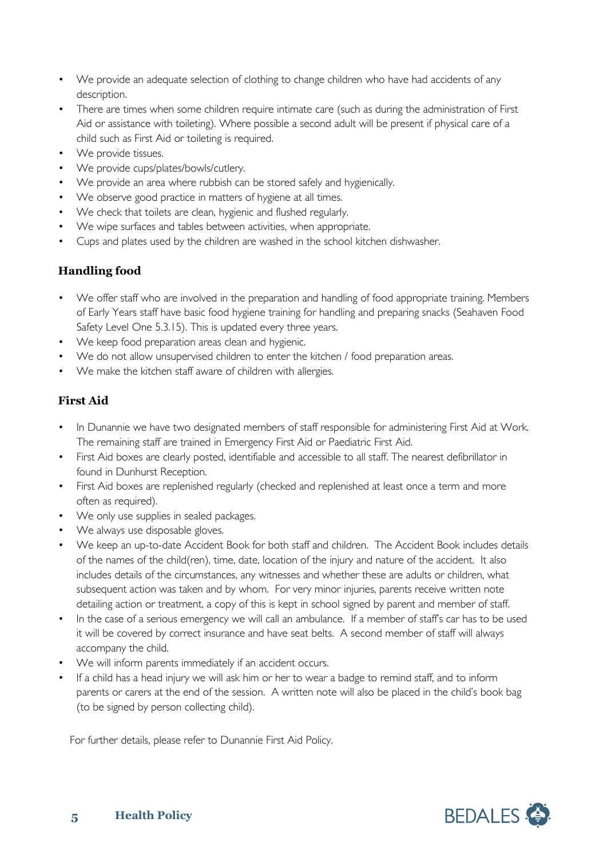- We provide an adequate selection of clothing to change children who have had accidents of any description.
- There are times when some children require intimate care (such as during the administration of First Aid or assistance with toileting). Where possible a second adult will be present if physical care of a child such as First Aid or toileting is required.
- We provide tissues.
- We provide cups/plates/bowls/cutlery.
- We provide an area where rubbish can be stored safely and hygienically.
- We observe good practice in matters of hygiene at all times.
- We check that toilets are clean, hygienic and flushed regularly.
- We wipe surfaces and tables between activities, when appropriate.
- Cups and plates used by the children are washed in the school kitchen dishwasher.

#### **Handling food**

- We offer staff who are involved in the preparation and handling of food appropriate training. Members of Early Years staff have basic food hygiene training for handling and preparing snacks (Seahaven Food Safety Level One 5.3.15). This is updated every three years.
- We keep food preparation areas clean and hygienic.
- We do not allow unsupervised children to enter the kitchen / food preparation areas.
- We make the kitchen staff aware of children with allergies.

## **First Aid**

- In Dunannie we have two designated members of staff responsible for administering First Aid at Work. The remaining staff are trained in Emergency First Aid or Paediatric First Aid.
- First Aid boxes are clearly posted, identifiable and accessible to all staff. The nearest defibrillator in found in Dunhurst Reception.
- First Aid boxes are replenished regularly (checked and replenished at least once a term and more often as required).
- We only use supplies in sealed packages.
- We always use disposable gloves.
- We keep an up-to-date Accident Book for both staff and children. The Accident Book includes details of the names of the child(ren), time, date, location of the injury and nature of the accident. It also includes details of the circumstances, any witnesses and whether these are adults or children, what subsequent action was taken and by whom. For very minor injuries, parents receive written note detailing action or treatment, a copy of this is kept in school signed by parent and member of staff.
- In the case of a serious emergency we will call an ambulance. If a member of staff's car has to be used it will be covered by correct insurance and have seat belts. A second member of staff will always accompany the child.
- We will inform parents immediately if an accident occurs.
- If a child has a head injury we will ask him or her to wear a badge to remind staff, and to inform parents or carers at the end of the session. A written note will also be placed in the child's book bag (to be signed by person collecting child).

For further details, please refer to Dunannie First Aid Policy.